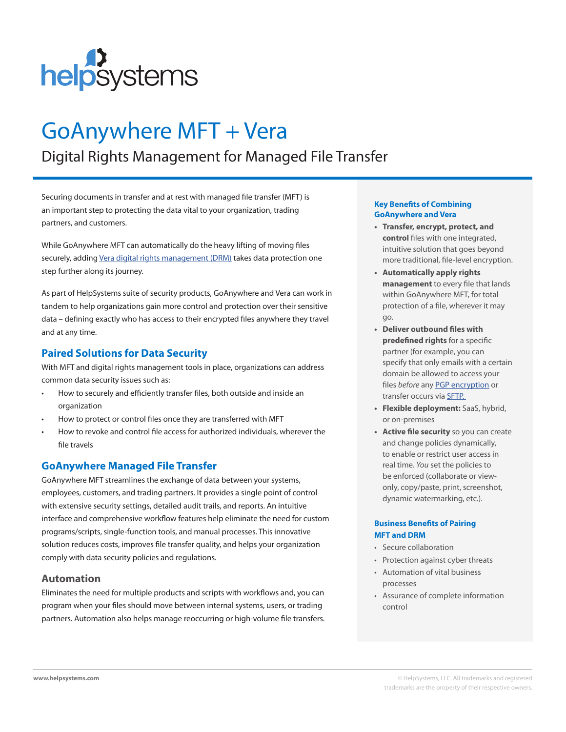

# GoAnywhere MFT + Vera

# Digital Rights Management for Managed File Transfer

Securing documents in transfer and at rest with managed file transfer (MFT) is an important step to protecting the data vital to your organization, trading partners, and customers.

While GoAnywhere MFT can automatically do the heavy lifting of moving files securely, adding Vera digital rights [management](https://www.helpsystems.com/product-lines/vera) (DRM) takes data protection one step further along its journey.

As part of HelpSystems suite of security products, GoAnywhere and Vera can work in tandem to help organizations gain more control and protection over their sensitive data – defining exactly who has access to their encrypted files anywhere they travel and at any time.

# **Paired Solutions for Data Security**

With MFT and digital rights management tools in place, organizations can address common data security issues such as:

- How to securely and efficiently transfer files, both outside and inside an organization
- How to protect or control files once they are transferred with MFT
- How to revoke and control file access for authorized individuals, wherever the file travels

# **GoAnywhere Managed File Transfer**

GoAnywhere MFT streamlines the exchange of data between your systems, employees, customers, and trading partners. It provides a single point of control with extensive security settings, detailed audit trails, and reports. An intuitive interface and comprehensive workflow features help eliminate the need for custom programs/scripts, single-function tools, and manual processes. This innovative solution reduces costs, improves file transfer quality, and helps your organization comply with data security policies and regulations.

# **Automation**

Eliminates the need for multiple products and scripts with workflows and, you can program when your files should move between internal systems, users, or trading partners. Automation also helps manage reoccurring or high-volume file transfers.

#### **Key Benefits of Combining GoAnywhere and Vera**

- **• Transfer, encrypt, protect, and control** files with one integrated, intuitive solution that goes beyond more traditional, file-level encryption.
- **• Automatically apply rights management** to every file that lands within GoAnywhere MFT, for total protection of a file, wherever it may go.
- **• Deliver outbound files with predefined rights** for a specific partner (for example, you can specify that only emails with a certain domain be allowed to access your files *before* any [PGP encryption](https://www.goanywhere.com/solutions/open-pgp) or transfer occurs via [SFTP.](https://www.goanywhere.com/videos/sftp-server)
- **• Flexible deployment:** SaaS, hybrid, or on-premises
- **• Active file security** so you can create and change policies dynamically, to enable or restrict user access in real time. *You* set the policies to be enforced (collaborate or viewonly, copy/paste, print, screenshot, dynamic watermarking, etc.).

#### **Business Benefits of Pairing MFT and DRM**

- Secure collaboration
- Protection against cyber threats
- Automation of vital business processes
- Assurance of complete information control